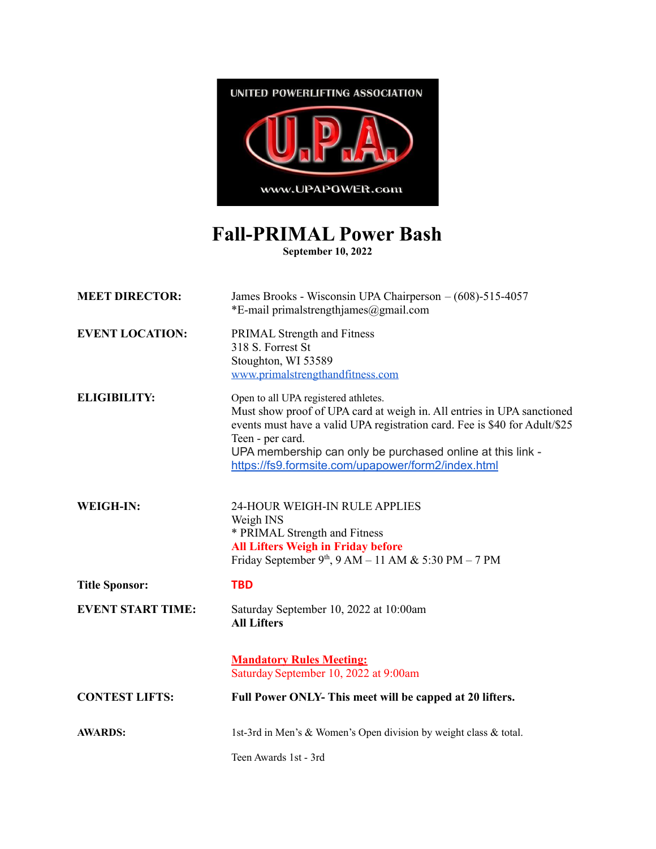

## **Fall-PRIMAL Power Bash**

**September 10, 2022**

| <b>MEET DIRECTOR:</b>    | James Brooks - Wisconsin UPA Chairperson - (608)-515-4057<br>*E-mail primalstrengthjames@gmail.com                                                                                                                                                                                                                                   |
|--------------------------|--------------------------------------------------------------------------------------------------------------------------------------------------------------------------------------------------------------------------------------------------------------------------------------------------------------------------------------|
| <b>EVENT LOCATION:</b>   | PRIMAL Strength and Fitness<br>318 S. Forrest St<br>Stoughton, WI 53589<br>www.primalstrengthandfitness.com                                                                                                                                                                                                                          |
| <b>ELIGIBILITY:</b>      | Open to all UPA registered athletes.<br>Must show proof of UPA card at weigh in. All entries in UPA sanctioned<br>events must have a valid UPA registration card. Fee is \$40 for Adult/\$25<br>Teen - per card.<br>UPA membership can only be purchased online at this link -<br>https://fs9.formsite.com/upapower/form2/index.html |
| WEIGH-IN:                | 24-HOUR WEIGH-IN RULE APPLIES<br>Weigh INS<br>* PRIMAL Strength and Fitness<br><b>All Lifters Weigh in Friday before</b><br>Friday September 9th, $9 AM - 11 AM & 5:30 PM - 7 PM$                                                                                                                                                    |
| <b>Title Sponsor:</b>    | <b>TBD</b>                                                                                                                                                                                                                                                                                                                           |
| <b>EVENT START TIME:</b> | Saturday September 10, 2022 at 10:00am<br><b>All Lifters</b>                                                                                                                                                                                                                                                                         |
|                          | <b>Mandatory Rules Meeting:</b><br>Saturday September 10, 2022 at 9:00am                                                                                                                                                                                                                                                             |
| <b>CONTEST LIFTS:</b>    | Full Power ONLY- This meet will be capped at 20 lifters.                                                                                                                                                                                                                                                                             |
| <b>AWARDS:</b>           | 1st-3rd in Men's & Women's Open division by weight class & total.                                                                                                                                                                                                                                                                    |
|                          | Teen Awards 1st - 3rd                                                                                                                                                                                                                                                                                                                |